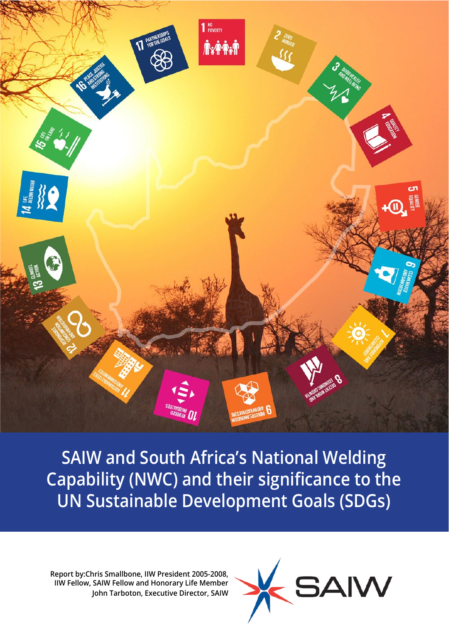

Capability (NWC) and their significance to the **UN Sustainable Development Goals (SDGs) UN Sustainability Development Goals (SDGs). SAIW and South Africa's National Welding** 

**Report Britannian Control of Tarboton, Executive Director, SAIW Fellow and Homorary Life Membership Membership Membership Membership Membership Membership Membership Membership Membership Membership Membership Membership Report by:Chris Smallbone, IIW President 2005-2008, IIW Fellow, SAIW Fellow and Honorary Life Member**

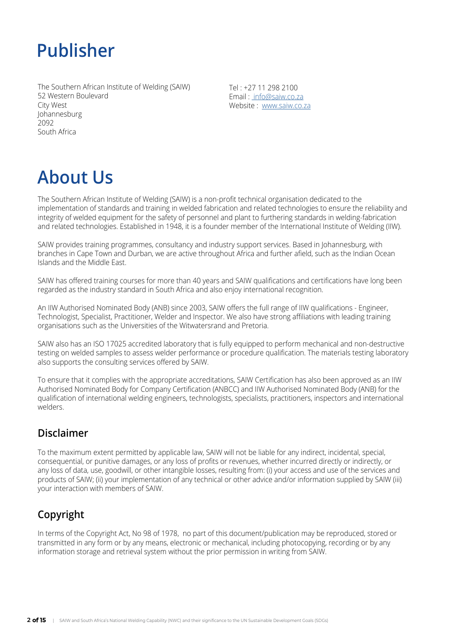## **Publisher**

The Southern African Institute of Welding (SAIW) 52 Western Boulevard City West Johannesburg 2092 South Africa

Tel : +27 11 298 2100 Email : [info@saiw.co.za](mailto:%20info%40saiw.co.za?subject=) Website : [www.saiw.co.za](https://www.saiw.co.za)

# **About Us**

The Southern African Institute of Welding (SAIW) is a non-profit technical organisation dedicated to the implementation of standards and training in welded fabrication and related technologies to ensure the reliability and integrity of welded equipment for the safety of personnel and plant to furthering standards in welding-fabrication and related technologies. Established in 1948, it is a founder member of the International Institute of Welding (IIW).

SAIW provides training programmes, consultancy and industry support services. Based in Johannesburg, with branches in Cape Town and Durban, we are active throughout Africa and further afield, such as the Indian Ocean Islands and the Middle East.

SAIW has offered training courses for more than 40 years and SAIW qualifications and certifications have long been regarded as the industry standard in South Africa and also enjoy international recognition.

An IIW Authorised Nominated Body (ANB) since 2003, SAIW offers the full range of IIW qualifications - Engineer, Technologist, Specialist, Practitioner, Welder and Inspector. We also have strong affiliations with leading training organisations such as the Universities of the Witwatersrand and Pretoria.

SAIW also has an ISO 17025 accredited laboratory that is fully equipped to perform mechanical and non-destructive testing on welded samples to assess welder performance or procedure qualification. The materials testing laboratory also supports the consulting services offered by SAIW.

To ensure that it complies with the appropriate accreditations, SAIW Certification has also been approved as an IIW Authorised Nominated Body for Company Certification (ANBCC) and IIW Authorised Nominated Body (ANB) for the qualification of international welding engineers, technologists, specialists, practitioners, inspectors and international welders.

## **Disclaimer**

To the maximum extent permitted by applicable law, SAIW will not be liable for any indirect, incidental, special, consequential, or punitive damages, or any loss of profits or revenues, whether incurred directly or indirectly, or any loss of data, use, goodwill, or other intangible losses, resulting from: (i) your access and use of the services and products of SAIW; (ii) your implementation of any technical or other advice and/or information supplied by SAIW (iii) your interaction with members of SAIW.

## **Copyright**

In terms of the Copyright Act, No 98 of 1978, no part of this document/publication may be reproduced, stored or transmitted in any form or by any means, electronic or mechanical, including photocopying, recording or by any information storage and retrieval system without the prior permission in writing from SAIW.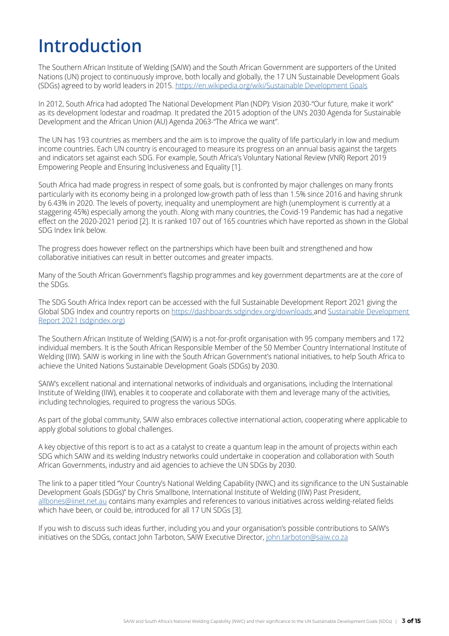## **Introduction**

The Southern African Institute of Welding (SAIW) and the South African Government are supporters of the United Nations (UN) project to continuously improve, both locally and globally, the 17 UN Sustainable Development Goals (SDGs) agreed to by world leaders in 2015. <https://en.wikipedia.org/wiki/Sustainable Development Goals>

In 2012, South Africa had adopted The National Development Plan (NDP): Vision 2030-"Our future, make it work" as its development lodestar and roadmap. It predated the 2015 adoption of the UN's 2030 Agenda for Sustainable Development and the African Union (AU) Agenda 2063-"The Africa we want".

The UN has 193 countries as members and the aim is to improve the quality of life particularly in low and medium income countries. Each UN country is encouraged to measure its progress on an annual basis against the targets and indicators set against each SDG. For example, South Africa's Voluntary National Review (VNR) Report 2019 Empowering People and Ensuring Inclusiveness and Equality [1].

South Africa had made progress in respect of some goals, but is confronted by major challenges on many fronts particularly with its economy being in a prolonged low-growth path of less than 1.5% since 2016 and having shrunk by 6.43% in 2020. The levels of poverty, inequality and unemployment are high (unemployment is currently at a staggering 45%) especially among the youth. Along with many countries, the Covid-19 Pandemic has had a negative effect on the 2020-2021 period [2]. It is ranked 107 out of 165 countries which have reported as shown in the Global SDG Index link below.

The progress does however reflect on the partnerships which have been built and strengthened and how collaborative initiatives can result in better outcomes and greater impacts.

Many of the South African Government's flagship programmes and key government departments are at the core of the SDGs.

The SDG South Africa Index report can be accessed with the full Sustainable Development Report 2021 giving the Global SDG Index and country reports on [https://dashboards.sdgindex.org/downloads](https://dashboards.sdgindex.org/downloads ) and [Sustainable Development](https://dashboards.sdgindex.org/)  Report 2021 [\(sdgindex.org\)](https://dashboards.sdgindex.org/)

The Southern African Institute of Welding (SAIW) is a not-for-profit organisation with 95 company members and 172 individual members. It is the South African Responsible Member of the 50 Member Country International Institute of Welding (IIW). SAIW is working in line with the South African Government's national initiatives, to help South Africa to achieve the United Nations Sustainable Development Goals (SDGs) by 2030.

SAIW's excellent national and international networks of individuals and organisations, including the International Institute of Welding (IIW), enables it to cooperate and collaborate with them and leverage many of the activities, including technologies, required to progress the various SDGs.

As part of the global community, SAIW also embraces collective international action, cooperating where applicable to apply global solutions to global challenges.

A key objective of this report is to act as a catalyst to create a quantum leap in the amount of projects within each SDG which SAIW and its welding Industry networks could undertake in cooperation and collaboration with South African Governments, industry and aid agencies to achieve the UN SDGs by 2030.

The link to a paper titled "Your Country's National Welding Capability (NWC) and its significance to the UN Sustainable Development Goals (SDGs)" by Chris Smallbone, International Institute of Welding (IIW) Past President, [allbones@iinet.net.au](mailto:allbones%40iinet.net.au?subject=) contains many examples and references to various initiatives across welding-related fields which have been, or could be, introduced for all 17 UN SDGs [3].

If you wish to discuss such ideas further, including you and your organisation's possible contributions to SAIW's initiatives on the SDGs, contact John Tarboton, SAIW Executive Director, [john.tarboton@saiw.co.za](mailto:john.tarboton%40saiw.co.za%20?subject=)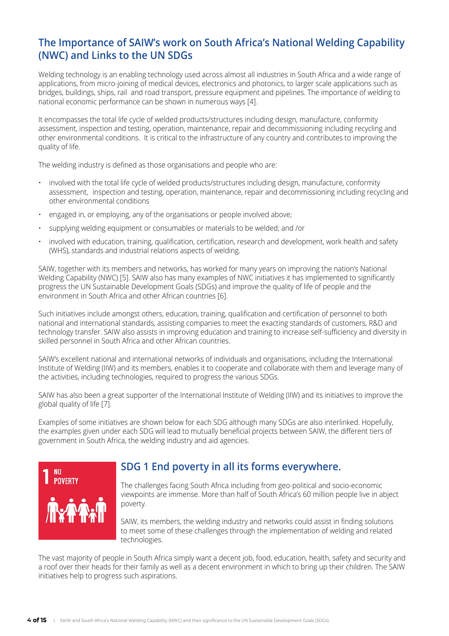## **The Importance of SAIW's work on South Africa's National Welding Capability (NWC) and Links to the UN SDGs**

Welding technology is an enabling technology used across almost all industries in South Africa and a wide range of applications, from micro-joining of medical devices, electronics and photonics, to larger scale applications such as bridges, buildings, ships, rail and road transport, pressure equipment and pipelines. The importance of welding to national economic performance can be shown in numerous ways [4].

It encompasses the total life cycle of welded products/structures including design, manufacture, conformity assessment, inspection and testing, operation, maintenance, repair and decommissioning including recycling and other environmental conditions. It is critical to the infrastructure of any country and contributes to improving the quality of life.

The welding industry is defined as those organisations and people who are:

- involved with the total life cycle of welded products/structures including design, manufacture, conformity assessment, inspection and testing, operation, maintenance, repair and decommissioning including recycling and other environmental conditions
- engaged in, or employing, any of the organisations or people involved above;
- supplying welding equipment or consumables or materials to be welded; and /or
- involved with education, training, qualification, certification, research and development, work health and safety (WHS), standards and industrial relations aspects of welding.

SAIW, together with its members and networks, has worked for many years on improving the nation's National Welding Capability (NWC) [5]. SAIW also has many examples of NWC initiatives it has implemented to significantly progress the UN Sustainable Development Goals (SDGs) and improve the quality of life of people and the environment in South Africa and other African countries [6].

Such initiatives include amongst others, education, training, qualification and certification of personnel to both national and international standards, assisting companies to meet the exacting standards of customers, R&D and technology transfer. SAIW also assists in improving education and training to increase self-sufficiency and diversity in skilled personnel in South Africa and other African countries.

SAIW's excellent national and international networks of individuals and organisations, including the International Institute of Welding (IIW) and its members, enables it to cooperate and collaborate with them and leverage many of the activities, including technologies, required to progress the various SDGs.

SAIW has also been a great supporter of the International Institute of Welding (IIW) and its initiatives to improve the global quality of life [7].

Examples of some initiatives are shown below for each SDG although many SDGs are also interlinked. Hopefully, the examples given under each SDG will lead to mutually beneficial projects between SAIW, the different tiers of government in South Africa, the welding industry and aid agencies.



## **SDG 1 End poverty in all its forms everywhere.**

The challenges facing South Africa including from geo-political and socio-economic viewpoints are immense. More than half of South Africa's 60 million people live in abject poverty.

SAIW, its members, the welding industry and networks could assist in finding solutions to meet some of these challenges through the implementation of welding and related technologies.

The vast majority of people in South Africa simply want a decent job, food, education, health, safety and security and a roof over their heads for their family as well as a decent environment in which to bring up their children. The SAIW initiatives help to progress such aspirations.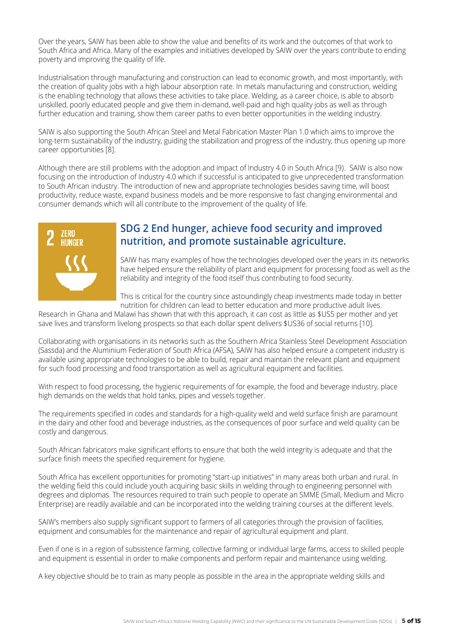Over the years, SAIW has been able to show the value and benefits of its work and the outcomes of that work to South Africa and Africa. Many of the examples and initiatives developed by SAIW over the years contribute to ending poverty and improving the quality of life.

Industrialisation through manufacturing and construction can lead to economic growth, and most importantly, with the creation of quality jobs with a high labour absorption rate. In metals manufacturing and construction, welding is the enabling technology that allows these activities to take place. Welding, as a career choice, is able to absorb unskilled, poorly educated people and give them in-demand, well-paid and high quality jobs as well as through further education and training, show them career paths to even better opportunities in the welding industry.

SAIW is also supporting the South African Steel and Metal Fabrication Master Plan 1.0 which aims to improve the long-term sustainability of the industry, guiding the stabilization and progress of the industry, thus opening up more career opportunities [8].

Although there are still problems with the adoption and impact of Industry 4.0 in South Africa [9}. SAIW is also now focusing on the introduction of Industry 4.0 which if successful is anticipated to give unprecedented transformation to South African industry. The introduction of new and appropriate technologies besides saving time, will boost productivity, reduce waste, expand business models and be more responsive to fast changing environmental and consumer demands which will all contribute to the improvement of the quality of life.



## **SDG 2 End hunger, achieve food security and improved nutrition, and promote sustainable agriculture.**

SAIW has many examples of how the technologies developed over the years in its networks have helped ensure the reliability of plant and equipment for processing food as well as the reliability and integrity of the food itself thus contributing to food security.

This is critical for the country since astoundingly cheap investments made today in better nutrition for children can lead to better education and more productive adult lives.

Research in Ghana and Malawi has shown that with this approach, it can cost as little as \$US5 per mother and yet save lives and transform livelong prospects so that each dollar spent delivers \$US36 of social returns [10].

Collaborating with organisations in its networks such as the Southern Africa Stainless Steel Development Association (Sassda) and the Aluminium Federation of South Africa (AFSA), SAIW has also helped ensure a competent industry is available using appropriate technologies to be able to build, repair and maintain the relevant plant and equipment for such food processing and food transportation as well as agricultural equipment and facilities.

With respect to food processing, the hygienic requirements of for example, the food and beverage industry, place high demands on the welds that hold tanks, pipes and vessels together.

The requirements specified in codes and standards for a high-quality weld and weld surface finish are paramount in the dairy and other food and beverage industries, as the consequences of poor surface and weld quality can be costly and dangerous.

South African fabricators make significant efforts to ensure that both the weld integrity is adequate and that the surface finish meets the specified requirement for hygiene.

South Africa has excellent opportunities for promoting "start-up initiatives" in many areas both urban and rural. In the welding field this could include youth acquiring basic skills in welding through to engineering personnel with degrees and diplomas. The resources required to train such people to operate an SMME (Small, Medium and Micro Enterprise) are readily available and can be incorporated into the welding training courses at the different levels.

SAIW's members also supply significant support to farmers of all categories through the provision of facilities, equipment and consumables for the maintenance and repair of agricultural equipment and plant.

Even if one is in a region of subsistence farming, collective farming or individual large farms, access to skilled people and equipment is essential in order to make components and perform repair and maintenance using welding.

A key objective should be to train as many people as possible in the area in the appropriate welding skills and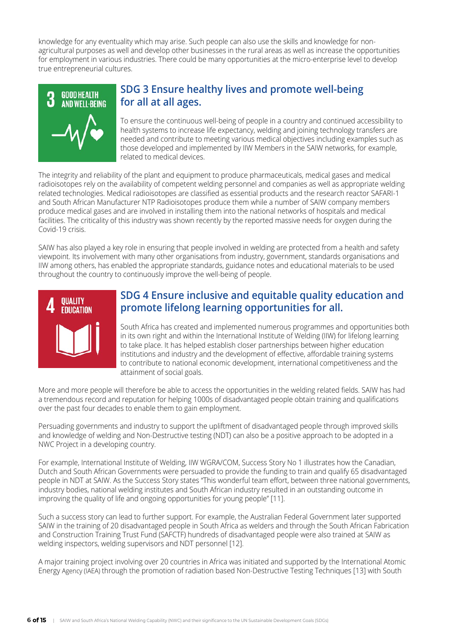knowledge for any eventuality which may arise. Such people can also use the skills and knowledge for nonagricultural purposes as well and develop other businesses in the rural areas as well as increase the opportunities for employment in various industries. There could be many opportunities at the micro-enterprise level to develop true entrepreneurial cultures.



## **SDG 3 Ensure healthy lives and promote well-being for all at all ages.**

To ensure the continuous well-being of people in a country and continued accessibility to health systems to increase life expectancy, welding and joining technology transfers are needed and contribute to meeting various medical objectives including examples such as those developed and implemented by IIW Members in the SAIW networks, for example, related to medical devices.

The integrity and reliability of the plant and equipment to produce pharmaceuticals, medical gases and medical radioisotopes rely on the availability of competent welding personnel and companies as well as appropriate welding related technologies. Medical radioisotopes are classified as essential products and the research reactor SAFARI-1 and South African Manufacturer NTP Radioisotopes produce them while a number of SAIW company members produce medical gases and are involved in installing them into the national networks of hospitals and medical facilities. The criticality of this industry was shown recently by the reported massive needs for oxygen during the Covid-19 crisis.

SAIW has also played a key role in ensuring that people involved in welding are protected from a health and safety viewpoint. Its involvement with many other organisations from industry, government, standards organisations and IIW among others, has enabled the appropriate standards, guidance notes and educational materials to be used throughout the country to continuously improve the well-being of people.



### **SDG 4 Ensure inclusive and equitable quality education and promote lifelong learning opportunities for all.**

South Africa has created and implemented numerous programmes and opportunities both in its own right and within the International Institute of Welding (IIW) for lifelong learning to take place. It has helped establish closer partnerships between higher education institutions and industry and the development of effective, affordable training systems to contribute to national economic development, international competitiveness and the attainment of social goals.

More and more people will therefore be able to access the opportunities in the welding related fields. SAIW has had a tremendous record and reputation for helping 1000s of disadvantaged people obtain training and qualifications over the past four decades to enable them to gain employment.

Persuading governments and industry to support the upliftment of disadvantaged people through improved skills and knowledge of welding and Non-Destructive testing (NDT) can also be a positive approach to be adopted in a NWC Project in a developing country.

For example, International Institute of Welding, IIW WGRA/COM, Success Story No 1 illustrates how the Canadian, Dutch and South African Governments were persuaded to provide the funding to train and qualify 65 disadvantaged people in NDT at SAIW. As the Success Story states "This wonderful team effort, between three national governments, industry bodies, national welding institutes and South African industry resulted in an outstanding outcome in improving the quality of life and ongoing opportunities for young people" [11].

Such a success story can lead to further support. For example, the Australian Federal Government later supported SAIW in the training of 20 disadvantaged people in South Africa as welders and through the South African Fabrication and Construction Training Trust Fund (SAFCTF) hundreds of disadvantaged people were also trained at SAIW as welding inspectors, welding supervisors and NDT personnel [12].

A major training project involving over 20 countries in Africa was initiated and supported by the International Atomic Energy Agency (IAEA) through the promotion of radiation based Non-Destructive Testing Techniques [13] with South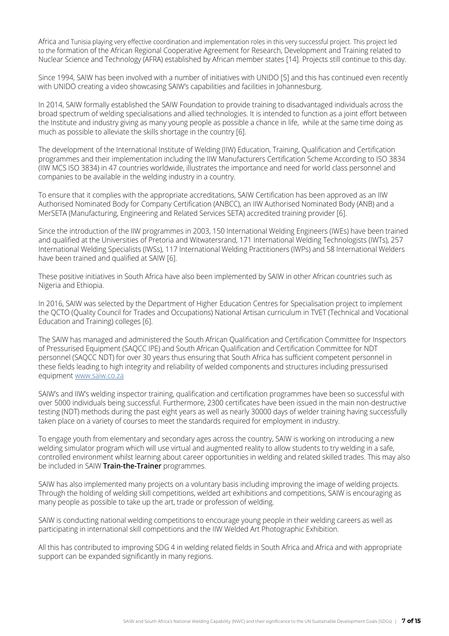Africa and Tunisia playing very effective coordination and implementation roles in this very successful project. This project led to the formation of the African Regional Cooperative Agreement for Research, Development and Training related to Nuclear Science and Technology (AFRA) established by African member states [14]. Projects still continue to this day.

Since 1994, SAIW has been involved with a number of initiatives with UNIDO [5] and this has continued even recently with UNIDO creating a video showcasing SAIW's capabilities and facilities in Johannesburg.

In 2014, SAIW formally established the SAIW Foundation to provide training to disadvantaged individuals across the broad spectrum of welding specialisations and allied technologies. It is intended to function as a joint effort between the Institute and industry giving as many young people as possible a chance in life, while at the same time doing as much as possible to alleviate the skills shortage in the country [6].

The development of the International Institute of Welding (IIW) Education, Training, Qualification and Certification programmes and their implementation including the IIW Manufacturers Certification Scheme According to ISO 3834 (IIW MCS ISO 3834) in 47 countries worldwide, illustrates the importance and need for world class personnel and companies to be available in the welding industry in a country.

To ensure that it complies with the appropriate accreditations, SAIW Certification has been approved as an IIW Authorised Nominated Body for Company Certification (ANBCC), an IIW Authorised Nominated Body (ANB) and a MerSETA (Manufacturing, Engineering and Related Services SETA) accredited training provider [6].

Since the introduction of the IIW programmes in 2003, 150 International Welding Engineers (IWEs) have been trained and qualified at the Universities of Pretoria and Witwatersrand, 171 International Welding Technologists (IWTs), 257 International Welding Specialists (IWSs), 117 International Welding Practitioners (IWPs) and 58 International Welders have been trained and qualified at SAIW [6].

These positive initiatives in South Africa have also been implemented by SAIW in other African countries such as Nigeria and Ethiopia.

In 2016, SAIW was selected by the Department of Higher Education Centres for Specialisation project to implement the QCTO (Quality Council for Trades and Occupations) National Artisan curriculum in TVET (Technical and Vocational Education and Training) colleges [6].

The SAIW has managed and administered the South African Qualification and Certification Committee for Inspectors of Pressurised Equipment (SAQCC IPE) and South African Qualification and Certification Committee for NDT personnel (SAQCC NDT) for over 30 years thus ensuring that South Africa has sufficient competent personnel in these fields leading to high integrity and reliability of welded components and structures including pressurised equipment [www.saiw.co.za](https://www.saiw.co.za)

SAIW's and IIW's welding inspector training, qualification and certification programmes have been so successful with over 5000 individuals being successful. Furthermore, 2300 certificates have been issued in the main non-destructive testing (NDT) methods during the past eight years as well as nearly 30000 days of welder training having successfully taken place on a variety of courses to meet the standards required for employment in industry.

To engage youth from elementary and secondary ages across the country, SAIW is working on introducing a new welding simulator program which will use virtual and augmented reality to allow students to try welding in a safe, controlled environment whilst learning about career opportunities in welding and related skilled trades. This may also be included in SAIW **Train-the-Trainer** programmes.

SAIW has also implemented many projects on a voluntary basis including improving the image of welding projects. Through the holding of welding skill competitions, welded art exhibitions and competitions, SAIW is encouraging as many people as possible to take up the art, trade or profession of welding.

SAIW is conducting national welding competitions to encourage young people in their welding careers as well as participating in international skill competitions and the IIW Welded Art Photographic Exhibition.

All this has contributed to improving SDG 4 in welding related fields in South Africa and Africa and with appropriate support can be expanded significantly in many regions.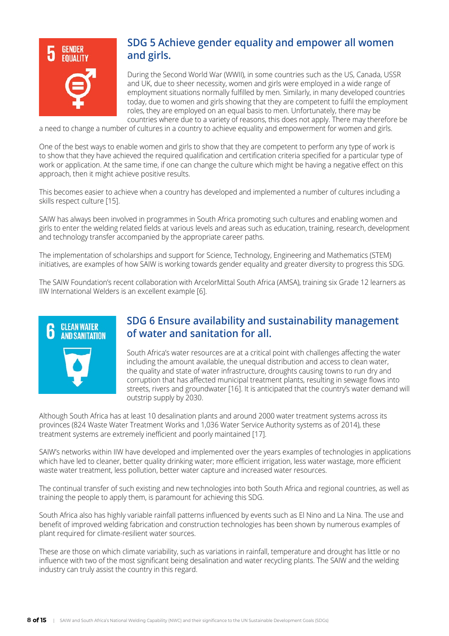

## **SDG 5 Achieve gender equality and empower all women and girls.**

During the Second World War (WWII), in some countries such as the US, Canada, USSR and UK, due to sheer necessity, women and girls were employed in a wide range of employment situations normally fulfilled by men. Similarly, in many developed countries today, due to women and girls showing that they are competent to fulfil the employment roles, they are employed on an equal basis to men. Unfortunately, there may be countries where due to a variety of reasons, this does not apply. There may therefore be

a need to change a number of cultures in a country to achieve equality and empowerment for women and girls.

One of the best ways to enable women and girls to show that they are competent to perform any type of work is to show that they have achieved the required qualification and certification criteria specified for a particular type of work or application. At the same time, if one can change the culture which might be having a negative effect on this approach, then it might achieve positive results.

This becomes easier to achieve when a country has developed and implemented a number of cultures including a skills respect culture [15].

SAIW has always been involved in programmes in South Africa promoting such cultures and enabling women and girls to enter the welding related fields at various levels and areas such as education, training, research, development and technology transfer accompanied by the appropriate career paths.

The implementation of scholarships and support for Science, Technology, Engineering and Mathematics (STEM) initiatives, are examples of how SAIW is working towards gender equality and greater diversity to progress this SDG.

The SAIW Foundation's recent collaboration with ArcelorMittal South Africa (AMSA), training six Grade 12 learners as IIW International Welders is an excellent example [6].



## **SDG 6 Ensure availability and sustainability management of water and sanitation for all.**

South Africa's water resources are at a critical point with challenges affecting the water including the amount available, the unequal distribution and access to clean water, the quality and state of water infrastructure, droughts causing towns to run dry and corruption that has affected municipal treatment plants, resulting in sewage flows into streets, rivers and groundwater [16]. It is anticipated that the country's water demand will outstrip supply by 2030.

Although South Africa has at least 10 desalination plants and around 2000 water treatment systems across its provinces (824 Waste Water Treatment Works and 1,036 Water Service Authority systems as of 2014), these treatment systems are extremely inefficient and poorly maintained [17].

SAIW's networks within IIW have developed and implemented over the years examples of technologies in applications which have led to cleaner, better quality drinking water; more efficient irrigation, less water wastage, more efficient waste water treatment, less pollution, better water capture and increased water resources.

The continual transfer of such existing and new technologies into both South Africa and regional countries, as well as training the people to apply them, is paramount for achieving this SDG.

South Africa also has highly variable rainfall patterns influenced by events such as El Nino and La Nina. The use and benefit of improved welding fabrication and construction technologies has been shown by numerous examples of plant required for climate-resilient water sources.

These are those on which climate variability, such as variations in rainfall, temperature and drought has little or no influence with two of the most significant being desalination and water recycling plants. The SAIW and the welding industry can truly assist the country in this regard.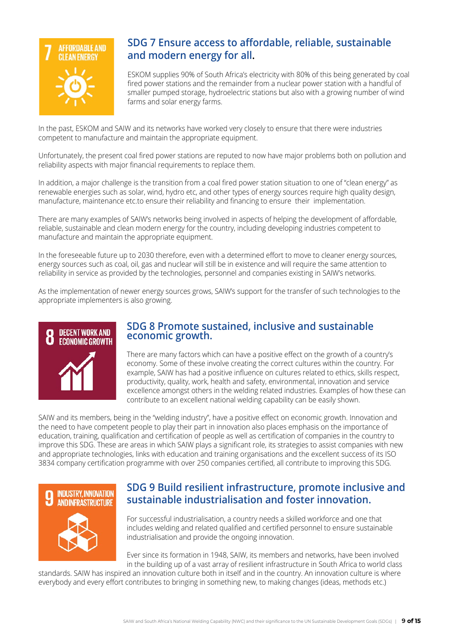

## **SDG 7 Ensure access to affordable, reliable, sustainable and modern energy for all.**

ESKOM supplies 90% of South Africa's electricity with 80% of this being generated by coal fired power stations and the remainder from a nuclear power station with a handful of smaller pumped storage, hydroelectric stations but also with a growing number of wind farms and solar energy farms.

In the past, ESKOM and SAIW and its networks have worked very closely to ensure that there were industries competent to manufacture and maintain the appropriate equipment.

Unfortunately, the present coal fired power stations are reputed to now have major problems both on pollution and reliability aspects with major financial requirements to replace them.

In addition, a major challenge is the transition from a coal fired power station situation to one of "clean energy" as renewable energies such as solar, wind, hydro etc, and other types of energy sources require high quality design, manufacture, maintenance etc.to ensure their reliability and financing to ensure their implementation.

There are many examples of SAIW's networks being involved in aspects of helping the development of affordable, reliable, sustainable and clean modern energy for the country, including developing industries competent to manufacture and maintain the appropriate equipment.

In the foreseeable future up to 2030 therefore, even with a determined effort to move to cleaner energy sources, energy sources such as coal, oil, gas and nuclear will still be in existence and will require the same attention to reliability in service as provided by the technologies, personnel and companies existing in SAIW's networks.

As the implementation of newer energy sources grows, SAIW's support for the transfer of such technologies to the appropriate implementers is also growing.



#### **SDG 8 Promote sustained, inclusive and sustainable economic growth.**

There are many factors which can have a positive effect on the growth of a country's economy. Some of these involve creating the correct cultures within the country. For example, SAIW has had a positive influence on cultures related to ethics, skills respect, productivity, quality, work, health and safety, environmental, innovation and service excellence amongst others in the welding related industries. Examples of how these can contribute to an excellent national welding capability can be easily shown.

SAIW and its members, being in the "welding industry", have a positive effect on economic growth. Innovation and the need to have competent people to play their part in innovation also places emphasis on the importance of education, training, qualification and certification of people as well as certification of companies in the country to improve this SDG. These are areas in which SAIW plays a significant role, its strategies to assist companies with new and appropriate technologies, links with education and training organisations and the excellent success of its ISO 3834 company certification programme with over 250 companies certified, all contribute to improving this SDG.



### **SDG 9 Build resilient infrastructure, promote inclusive and sustainable industrialisation and foster innovation.**

For successful industrialisation, a country needs a skilled workforce and one that includes welding and related qualified and certified personnel to ensure sustainable industrialisation and provide the ongoing innovation.

Ever since its formation in 1948, SAIW, its members and networks, have been involved in the building up of a vast array of resilient infrastructure in South Africa to world class

standards. SAIW has inspired an innovation culture both in itself and in the country. An innovation culture is where everybody and every effort contributes to bringing in something new, to making changes (ideas, methods etc.)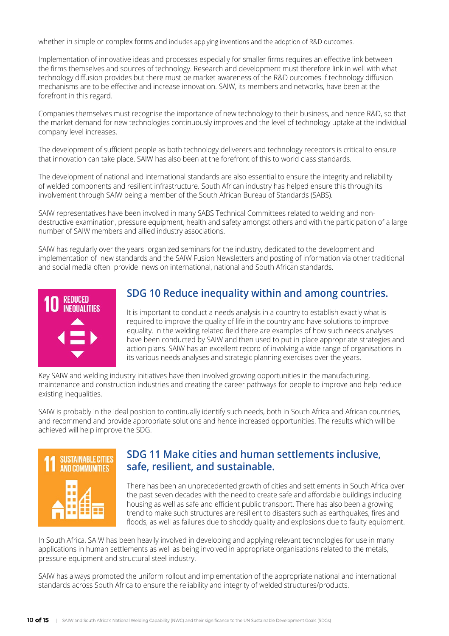whether in simple or complex forms and includes applying inventions and the adoption of R&D outcomes.

Implementation of innovative ideas and processes especially for smaller firms requires an effective link between the firms themselves and sources of technology. Research and development must therefore link in well with what technology diffusion provides but there must be market awareness of the R&D outcomes if technology diffusion mechanisms are to be effective and increase innovation. SAIW, its members and networks, have been at the forefront in this regard.

Companies themselves must recognise the importance of new technology to their business, and hence R&D, so that the market demand for new technologies continuously improves and the level of technology uptake at the individual company level increases.

The development of sufficient people as both technology deliverers and technology receptors is critical to ensure that innovation can take place. SAIW has also been at the forefront of this to world class standards.

The development of national and international standards are also essential to ensure the integrity and reliability of welded components and resilient infrastructure. South African industry has helped ensure this through its involvement through SAIW being a member of the South African Bureau of Standards (SABS).

SAIW representatives have been involved in many SABS Technical Committees related to welding and nondestructive examination, pressure equipment, health and safety amongst others and with the participation of a large number of SAIW members and allied industry associations.

SAIW has regularly over the years organized seminars for the industry, dedicated to the development and implementation of new standards and the SAIW Fusion Newsletters and posting of information via other traditional and social media often provide news on international, national and South African standards.



## **SDG 10 Reduce inequality within and among countries.**

It is important to conduct a needs analysis in a country to establish exactly what is required to improve the quality of life in the country and have solutions to improve equality. In the welding related field there are examples of how such needs analyses have been conducted by SAIW and then used to put in place appropriate strategies and action plans. SAIW has an excellent record of involving a wide range of organisations in its various needs analyses and strategic planning exercises over the years.

Key SAIW and welding industry initiatives have then involved growing opportunities in the manufacturing, maintenance and construction industries and creating the career pathways for people to improve and help reduce existing inequalities.

SAIW is probably in the ideal position to continually identify such needs, both in South Africa and African countries, and recommend and provide appropriate solutions and hence increased opportunities. The results which will be achieved will help improve the SDG.



## **SDG 11 Make cities and human settlements inclusive, safe, resilient, and sustainable.**

There has been an unprecedented growth of cities and settlements in South Africa over the past seven decades with the need to create safe and affordable buildings including housing as well as safe and efficient public transport. There has also been a growing trend to make such structures are resilient to disasters such as earthquakes, fires and floods, as well as failures due to shoddy quality and explosions due to faulty equipment.

In South Africa, SAIW has been heavily involved in developing and applying relevant technologies for use in many applications in human settlements as well as being involved in appropriate organisations related to the metals, pressure equipment and structural steel industry.

SAIW has always promoted the uniform rollout and implementation of the appropriate national and international standards across South Africa to ensure the reliability and integrity of welded structures/products.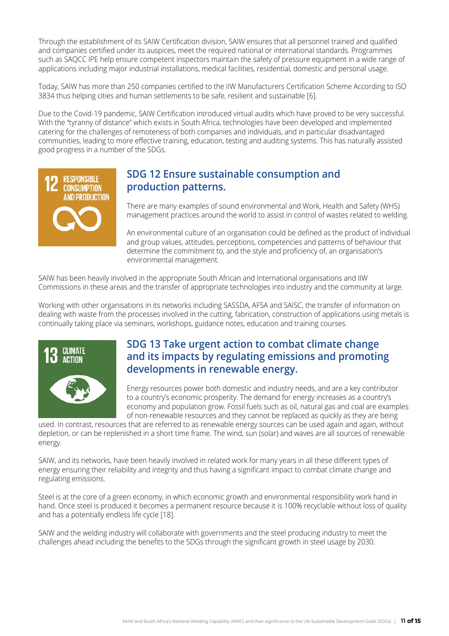Through the establishment of its SAIW Certification division, SAIW ensures that all personnel trained and qualified and companies certified under its auspices, meet the required national or international standards. Programmes such as SAQCC IPE help ensure competent inspectors maintain the safety of pressure equipment in a wide range of applications including major industrial installations, medical facilities, residential, domestic and personal usage.

Today, SAIW has more than 250 companies certified to the IIW Manufacturers Certification Scheme According to ISO 3834 thus helping cities and human settlements to be safe, resilient and sustainable [6].

Due to the Covid-19 pandemic, SAIW Certification introduced virtual audits which have proved to be very successful. With the "tyranny of distance" which exists in South Africa, technologies have been developed and implemented catering for the challenges of remoteness of both companies and individuals, and in particular disadvantaged communities, leading to more effective training, education, testing and auditing systems. This has naturally assisted good progress in a number of the SDGs.



## **SDG 12 Ensure sustainable consumption and production patterns.**

There are many examples of sound environmental and Work, Health and Safety (WHS) management practices around the world to assist in control of wastes related to welding.

An environmental culture of an organisation could be defined as the product of individual and group values, attitudes, perceptions, competencies and patterns of behaviour that determine the commitment to, and the style and proficiency of, an organisation's environmental management.

SAIW has been heavily involved in the appropriate South African and International organisations and IIW Commissions in these areas and the transfer of appropriate technologies into industry and the community at large.

Working with other organisations in its networks including SASSDA, AFSA and SAISC, the transfer of information on dealing with waste from the processes involved in the cutting, fabrication, construction of applications using metals is continually taking place via seminars, workshops, guidance notes, education and training courses.



## **SDG 13 Take urgent action to combat climate change and its impacts by regulating emissions and promoting developments in renewable energy.**

Energy resources power both domestic and industry needs, and are a key contributor to a country's economic prosperity. The demand for energy increases as a country's economy and population grow. Fossil fuels such as oil, natural gas and coal are examples of non-renewable resources and they cannot be replaced as quickly as they are being

used. In contrast, resources that are referred to as renewable energy sources can be used again and again, without depletion, or can be replenished in a short time frame. The wind, sun (solar) and waves are all sources of renewable energy.

SAIW, and its networks, have been heavily involved in related work for many years in all these different types of energy ensuring their reliability and integrity and thus having a significant impact to combat climate change and regulating emissions.

Steel is at the core of a green economy, in which economic growth and environmental responsibility work hand in hand. Once steel is produced it becomes a permanent resource because it is 100% recyclable without loss of quality and has a potentially endless life cycle [18].

SAIW and the welding industry will collaborate with governments and the steel producing industry to meet the challenges ahead including the benefits to the SDGs through the significant growth in steel usage by 2030.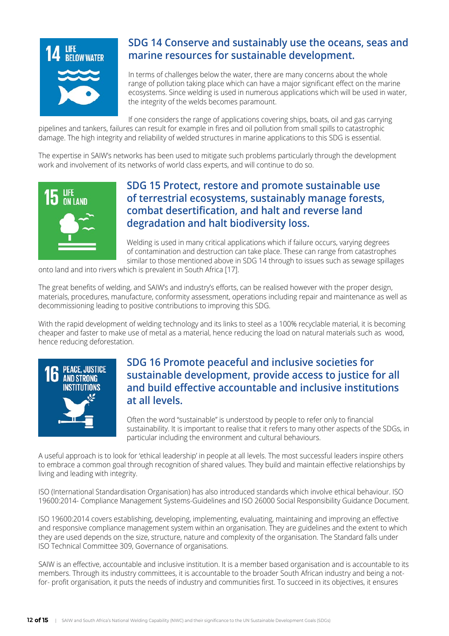

## **SDG 14 Conserve and sustainably use the oceans, seas and marine resources for sustainable development.**

In terms of challenges below the water, there are many concerns about the whole range of pollution taking place which can have a major significant effect on the marine ecosystems. Since welding is used in numerous applications which will be used in water, the integrity of the welds becomes paramount.

If one considers the range of applications covering ships, boats, oil and gas carrying pipelines and tankers, failures can result for example in fires and oil pollution from small spills to catastrophic damage. The high integrity and reliability of welded structures in marine applications to this SDG is essential.

The expertise in SAIW's networks has been used to mitigate such problems particularly through the development work and involvement of its networks of world class experts, and will continue to do so.



## **SDG 15 Protect, restore and promote sustainable use of terrestrial ecosystems, sustainably manage forests, combat desertification, and halt and reverse land degradation and halt biodiversity loss.**

Welding is used in many critical applications which if failure occurs, varying degrees of contamination and destruction can take place. These can range from catastrophes similar to those mentioned above in SDG 14 through to issues such as sewage spillages

onto land and into rivers which is prevalent in South Africa [17].

The great benefits of welding, and SAIW's and industry's efforts, can be realised however with the proper design, materials, procedures, manufacture, conformity assessment, operations including repair and maintenance as well as decommissioning leading to positive contributions to improving this SDG.

With the rapid development of welding technology and its links to steel as a 100% recyclable material, it is becoming cheaper and faster to make use of metal as a material, hence reducing the load on natural materials such as wood, hence reducing deforestation.



## **SDG 16 Promote peaceful and inclusive societies for sustainable development, provide access to justice for all and build effective accountable and inclusive institutions at all levels.**

Often the word "sustainable" is understood by people to refer only to financial sustainability. It is important to realise that it refers to many other aspects of the SDGs, in particular including the environment and cultural behaviours.

A useful approach is to look for 'ethical leadership' in people at all levels. The most successful leaders inspire others to embrace a common goal through recognition of shared values. They build and maintain effective relationships by living and leading with integrity.

ISO (International Standardisation Organisation) has also introduced standards which involve ethical behaviour. ISO 19600:2014- Compliance Management Systems-Guidelines and ISO 26000 Social Responsibility Guidance Document.

ISO 19600:2014 covers establishing, developing, implementing, evaluating, maintaining and improving an effective and responsive compliance management system within an organisation. They are guidelines and the extent to which they are used depends on the size, structure, nature and complexity of the organisation. The Standard falls under ISO Technical Committee 309, Governance of organisations.

SAIW is an effective, accountable and inclusive institution. It is a member based organisation and is accountable to its members. Through its industry committees, it is accountable to the broader South African industry and being a notfor- profit organisation, it puts the needs of industry and communities first. To succeed in its objectives, it ensures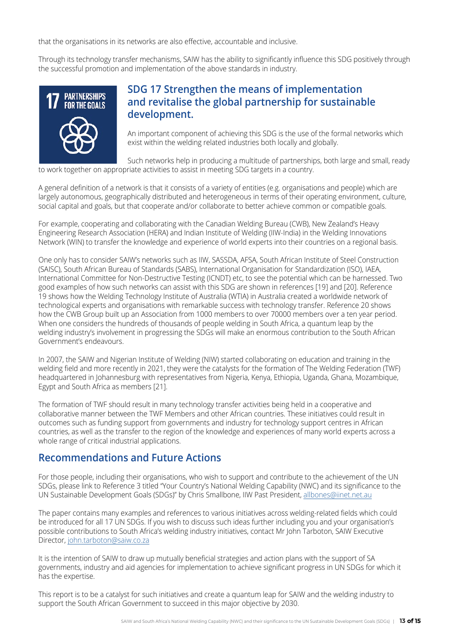that the organisations in its networks are also effective, accountable and inclusive.

Through its technology transfer mechanisms, SAIW has the ability to significantly influence this SDG positively through the successful promotion and implementation of the above standards in industry.



## **SDG 17 Strengthen the means of implementation and revitalise the global partnership for sustainable development.**

An important component of achieving this SDG is the use of the formal networks which exist within the welding related industries both locally and globally.

Such networks help in producing a multitude of partnerships, both large and small, ready to work together on appropriate activities to assist in meeting SDG targets in a country.

A general definition of a network is that it consists of a variety of entities (e.g. organisations and people) which are largely autonomous, geographically distributed and heterogeneous in terms of their operating environment, culture, social capital and goals, but that cooperate and/or collaborate to better achieve common or compatible goals.

For example, cooperating and collaborating with the Canadian Welding Bureau (CWB), New Zealand's Heavy Engineering Research Association (HERA) and Indian Institute of Welding (IIW-India) in the Welding Innovations Network (WIN) to transfer the knowledge and experience of world experts into their countries on a regional basis.

One only has to consider SAIW's networks such as IIW, SASSDA, AFSA, South African Institute of Steel Construction (SAISC), South African Bureau of Standards (SABS), International Organisation for Standardization (ISO), IAEA, International Committee for Non-Destructive Testing (ICNDT) etc, to see the potential which can be harnessed. Two good examples of how such networks can assist with this SDG are shown in references [19] and [20]. Reference 19 shows how the Welding Technology Institute of Australia (WTIA) in Australia created a worldwide network of technological experts and organisations with remarkable success with technology transfer. Reference 20 shows how the CWB Group built up an Association from 1000 members to over 70000 members over a ten year period. When one considers the hundreds of thousands of people welding in South Africa, a quantum leap by the welding industry's involvement in progressing the SDGs will make an enormous contribution to the South African Government's endeavours.

In 2007, the SAIW and Nigerian Institute of Welding (NIW) started collaborating on education and training in the welding field and more recently in 2021, they were the catalysts for the formation of The Welding Federation (TWF) headquartered in Johannesburg with representatives from Nigeria, Kenya, Ethiopia, Uganda, Ghana, Mozambique, Egypt and South Africa as members [21].

The formation of TWF should result in many technology transfer activities being held in a cooperative and collaborative manner between the TWF Members and other African countries. These initiatives could result in outcomes such as funding support from governments and industry for technology support centres in African countries, as well as the transfer to the region of the knowledge and experiences of many world experts across a whole range of critical industrial applications.

## **Recommendations and Future Actions**

For those people, including their organisations, who wish to support and contribute to the achievement of the UN SDGs, please link to Reference 3 titled "Your Country's National Welding Capability (NWC) and its significance to the UN Sustainable Development Goals (SDGs)" by Chris Smallbone, IIW Past President, [allbones@iinet.net.au](mailto:allbones%40iinet.net.au?subject=)

The paper contains many examples and references to various initiatives across welding-related fields which could be introduced for all 17 UN SDGs. If you wish to discuss such ideas further including you and your organisation's possible contributions to South Africa's welding industry initiatives, contact Mr John Tarboton, SAIW Executive Director, [john.tarboton@saiw.co.za](mailto:john.tarboton%40saiw.co.za%20?subject=)

It is the intention of SAIW to draw up mutually beneficial strategies and action plans with the support of SA governments, industry and aid agencies for implementation to achieve significant progress in UN SDGs for which it has the expertise.

This report is to be a catalyst for such initiatives and create a quantum leap for SAIW and the welding industry to support the South African Government to succeed in this major objective by 2030.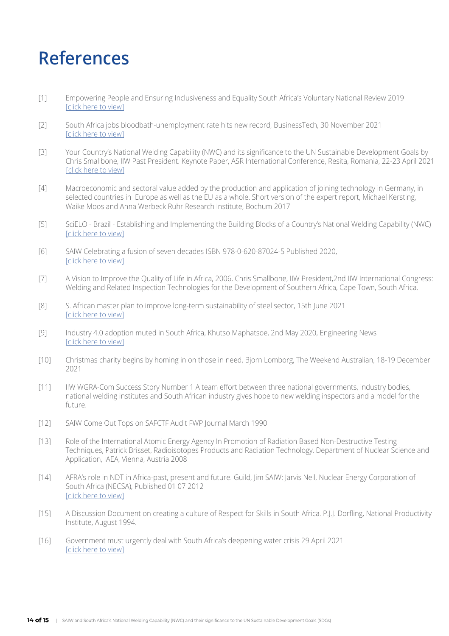## **References**

- [1] Empowering People and Ensuring Inclusiveness and Equality South Africa's Voluntary National Review 2019 [\[click here to view\]](https://sustainabledevelopment.un.org/content/documents/23402RSA_Voluntary_National_Review_Report__9_July_2019.pdf)
- [2] South Africa jobs bloodbath-unemployment rate hits new record, BusinessTech, 30 November 2021 [\[click here to view\]](https://businesstech.co.za/news/business/542704/south-africa-jobs-bloodbath-unemployment-rate-hits-new-record/  )
- [3] Your Country's National Welding Capability (NWC) and its significance to the UN Sustainable Development Goals by Chris Smallbone, IIW Past President. Keynote Paper, ASR International Conference, Resita, Romania, 22-23 April 2021 [\[click here to view\]](https://asr.ro/documents/C.Smallbone2021.pdf?_t=1639211760 
)
- [4] Macroeconomic and sectoral value added by the production and application of joining technology in Germany, in selected countries in Europe as well as the EU as a whole. Short version of the expert report, Michael Kersting, Waike Moos and Anna Werbeck Ruhr Research Institute, Bochum 2017
- [5] SciELO Brazil Establishing and Implementing the Building Blocks of a Country's National Welding Capability (NWC) [\[click here to view\]](https://www.scielo.br/j/si/a/tDWHcwCpMB3tFYY4xTXWZWt/?lang=en
)
- [6] SAIW Celebrating a fusion of seven decades ISBN 978-0-620-87024-5 Published 2020, [\[click here to view\]](https://www.saiw.co.za/70-years-of-saiw/)
- [7] A Vision to Improve the Quality of Life in Africa, 2006, Chris Smallbone, IIW President,2nd IIW International Congress: Welding and Related Inspection Technologies for the Development of Southern Africa, Cape Town, South Africa.
- [8] S. African master plan to improve long-term sustainability of steel sector, 15th June 2021 [\[click here to view\]](https://www.steelorbis.com/steel-news/latest-news/s-african-master-plan-to-improve-long_term-sustainability-of-steel-sector-1204092.htm )
- [9] Industry 4.0 adoption muted in South Africa, Khutso Maphatsoe, 2nd May 2020, Engineering News [\[click here to view\]](https://www.engineeringnews.co.za/print-version/industry-40-adoption-low-in-s-africa-2020-03-30)
- [10] Christmas charity begins by homing in on those in need, Bjorn Lomborg, The Weekend Australian, 18-19 December 2021
- [11] IIW WGRA-Com Success Story Number 1 A team effort between three national governments, industry bodies, national welding institutes and South African industry gives hope to new welding inspectors and a model for the future.
- [12] SAIW Come Out Tops on SAFCTF Audit FWP Journal March 1990
- [13] Role of the International Atomic Energy Agency In Promotion of Radiation Based Non-Destructive Testing Techniques, Patrick Brisset, Radioisotopes Products and Radiation Technology, Department of Nuclear Science and Application, IAEA, Vienna, Austria 2008
- [14] AFRA's role in NDT in Africa-past, present and future. Guild, Jim SAIW: Jarvis Neil, Nuclear Energy Corporation of South Africa (NECSA), Published 01 07 2012 [\[click here to view\]](http://www.ndt.net/?id=12422 )
- [15] A Discussion Document on creating a culture of Respect for Skills in South Africa. P.J.J. Dorfling, National Productivity Institute, August 1994.
- [16] Government must urgently deal with South Africa's deepening water crisis 29 April 2021 [\[click here to view\]](https://www.dailymaverick.co.za/article/2021-04-29-government-must-urgently-deal-with-south-africas-deepening-water-crisis/)